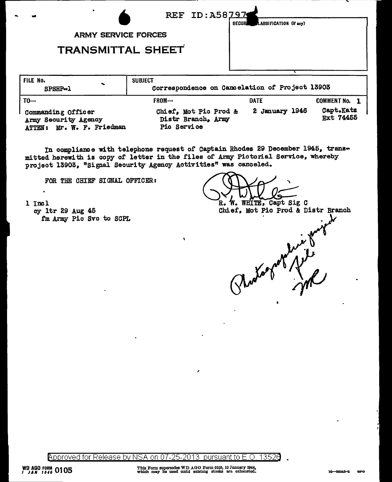| $\blacksquare$                              |                                             | REF ID: A58797<br>LASSIFICATION (If any)<br>SECURI |                        |
|---------------------------------------------|---------------------------------------------|----------------------------------------------------|------------------------|
|                                             | <b>ARMY SERVICE FORCES</b>                  |                                                    |                        |
|                                             | <b>TRANSMITTAL SHEET</b>                    |                                                    |                        |
| FILE No.<br>SPSHP-1                         | <b>SUBJECT</b>                              | Correspondence on Cancelation of Project 13903     |                        |
| $T0 -$                                      | FROM-                                       | <b>DATE</b>                                        | <b>COMMENT No. 1</b>   |
| Commanding Officer<br>Army Recurs ty Arency | Chief, Mot Pic Prod &<br>Distr Branch, Army | 2 January 1946                                     | Capt.Katz<br>Ext 74455 |

Pic Service ATTEN: Mr. W. F. Friedman

In compliance with telephone request of Captain Rhodes 29 December 1945, transmitted herewith is copy of letter in the files of Army Pictorial Service, whereby project 13903, "Signal Security Agency Activities" was canceled.

FOR THE CHIEF SIGNAL OFFICER:

1 Incl cy 1tr 29 Aug 45 fm Army Pic Svc to SCPL

W. WHITE, Capt Sig C R. Chief, Mot Pic Prod & Distr Branch

Approved for Release by NSA on 07-25-2013 pursuant to E.O. 13526